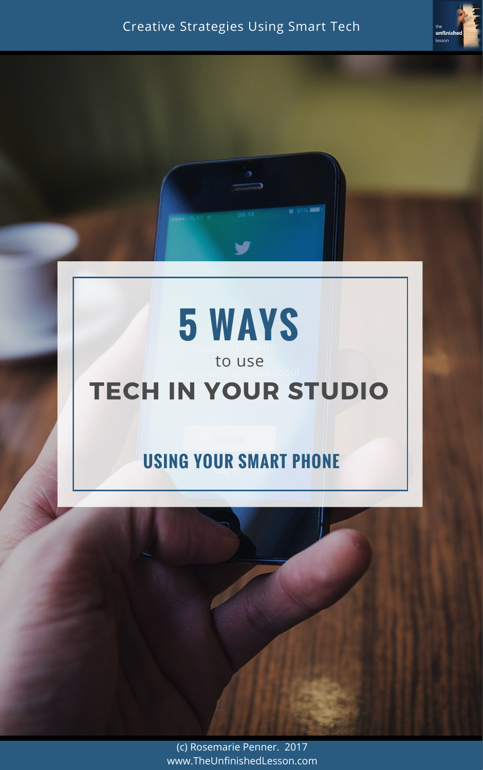**o** 91% **MM 5 WAYS** to use TECH IN YOUR STUDIO

### Creative Strategies Using Smart Tech

the

lesson

unfinished

# **USING YOUR SMART PHONE**



(c) Rosemarie Penner. 2017 www.TheUnfinishedLesson.com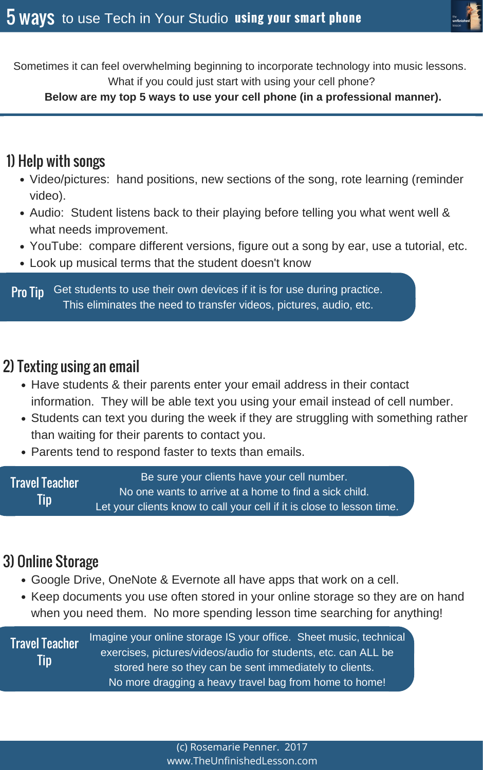(c) Rosemarie Penner. 2017 www.TheUnfinishedLesson.com



Sometimes it can feel overwhelming beginning to incorporate technology into music lessons. What if you could just start with using your cell phone?

#### **Below are my top 5 ways to use your cell phone (in a professional manner).**

- Video/pictures: hand positions, new sections of the song, rote learning (reminder video).
- Audio: Student listens back to their playing before telling you what went well & what needs improvement.
- YouTube: compare different versions, figure out a song by ear, use a tutorial, etc.
- Look up musical terms that the student doesn't know

## 1) Help with songs

- Have students & their parents enter your email address in their contact information. They will be able text you using your email instead of cell number.
- Students can text you during the week if they are struggling with something rather than waiting for their parents to contact you.
- Parents tend to respond faster to texts than emails.

Get students to use their own devices if it is for use during practice. This eliminates the need to transfer videos, pictures, audio, etc. Pro Tip

### 2) Texting using an email

Travel Teacher Tip Be sure your clients have your cell number. No one wants to arrive at a home to find a sick child. Let your clients know to call your cell if it is close to lesson time.

## 3) Online Storage

- Google Drive, OneNote & Evernote all have apps that work on a cell.
- Keep documents you use often stored in your online storage so they are on hand when you need them. No more spending lesson time searching for anything!

Tip

Travel Teacher Imagine your online storage IS your office. Sheet music, technical exercises, pictures/videos/audio for students, etc. can ALL be stored here so they can be sent immediately to clients. No more dragging a heavy travel bag from home to home!